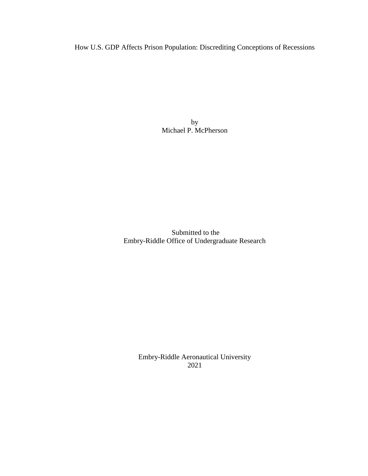How U.S. GDP Affects Prison Population: Discrediting Conceptions of Recessions

by Michael P. McPherson

Submitted to the Embry-Riddle Office of Undergraduate Research

> Embry-Riddle Aeronautical University 2021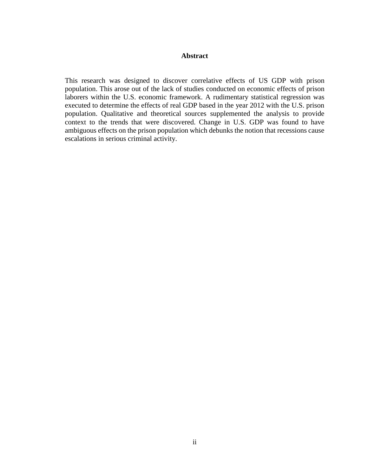## **Abstract**

This research was designed to discover correlative effects of US GDP with prison population. This arose out of the lack of studies conducted on economic effects of prison laborers within the U.S. economic framework. A rudimentary statistical regression was executed to determine the effects of real GDP based in the year 2012 with the U.S. prison population. Qualitative and theoretical sources supplemented the analysis to provide context to the trends that were discovered. Change in U.S. GDP was found to have ambiguous effects on the prison population which debunks the notion that recessions cause escalations in serious criminal activity.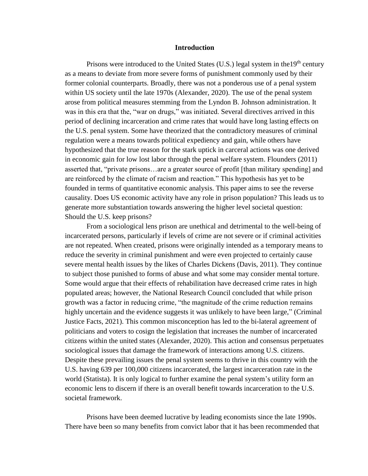#### **Introduction**

Prisons were introduced to the United States (U.S.) legal system in the 19<sup>th</sup> century as a means to deviate from more severe forms of punishment commonly used by their former colonial counterparts. Broadly, there was not a ponderous use of a penal system within US society until the late 1970s (Alexander, 2020). The use of the penal system arose from political measures stemming from the Lyndon B. Johnson administration. It was in this era that the, "war on drugs," was initiated. Several directives arrived in this period of declining incarceration and crime rates that would have long lasting effects on the U.S. penal system. Some have theorized that the contradictory measures of criminal regulation were a means towards political expediency and gain, while others have hypothesized that the true reason for the stark uptick in carceral actions was one derived in economic gain for low lost labor through the penal welfare system. Flounders (2011) asserted that, "private prisons…are a greater source of profit [than military spending] and are reinforced by the climate of racism and reaction." This hypothesis has yet to be founded in terms of quantitative economic analysis. This paper aims to see the reverse causality. Does US economic activity have any role in prison population? This leads us to generate more substantiation towards answering the higher level societal question: Should the U.S. keep prisons?

From a sociological lens prison are unethical and detrimental to the well-being of incarcerated persons, particularly if levels of crime are not severe or if criminal activities are not repeated. When created, prisons were originally intended as a temporary means to reduce the severity in criminal punishment and were even projected to certainly cause severe mental health issues by the likes of Charles Dickens (Davis, 2011). They continue to subject those punished to forms of abuse and what some may consider mental torture. Some would argue that their effects of rehabilitation have decreased crime rates in high populated areas; however, the National Research Council concluded that while prison growth was a factor in reducing crime, "the magnitude of the crime reduction remains highly uncertain and the evidence suggests it was unlikely to have been large," (Criminal Justice Facts, 2021). This common misconception has led to the bi-lateral agreement of politicians and voters to cosign the legislation that increases the number of incarcerated citizens within the united states (Alexander, 2020). This action and consensus perpetuates sociological issues that damage the framework of interactions among U.S. citizens. Despite these prevailing issues the penal system seems to thrive in this country with the U.S. having 639 per 100,000 citizens incarcerated, the largest incarceration rate in the world (Statista). It is only logical to further examine the penal system's utility form an economic lens to discern if there is an overall benefit towards incarceration to the U.S. societal framework.

Prisons have been deemed lucrative by leading economists since the late 1990s. There have been so many benefits from convict labor that it has been recommended that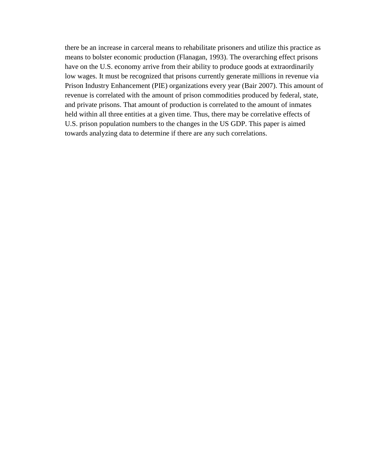there be an increase in carceral means to rehabilitate prisoners and utilize this practice as means to bolster economic production (Flanagan, 1993). The overarching effect prisons have on the U.S. economy arrive from their ability to produce goods at extraordinarily low wages. It must be recognized that prisons currently generate millions in revenue via Prison Industry Enhancement (PIE) organizations every year (Bair 2007). This amount of revenue is correlated with the amount of prison commodities produced by federal, state, and private prisons. That amount of production is correlated to the amount of inmates held within all three entities at a given time. Thus, there may be correlative effects of U.S. prison population numbers to the changes in the US GDP. This paper is aimed towards analyzing data to determine if there are any such correlations.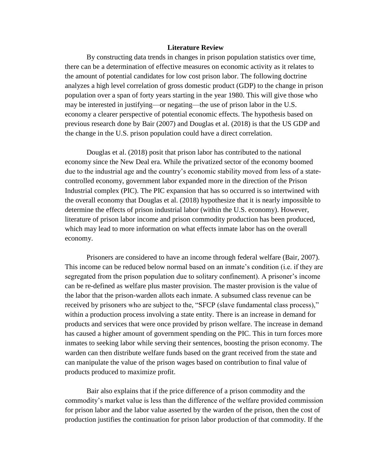## **Literature Review**

By constructing data trends in changes in prison population statistics over time, there can be a determination of effective measures on economic activity as it relates to the amount of potential candidates for low cost prison labor. The following doctrine analyzes a high level correlation of gross domestic product (GDP) to the change in prison population over a span of forty years starting in the year 1980. This will give those who may be interested in justifying—or negating—the use of prison labor in the U.S. economy a clearer perspective of potential economic effects. The hypothesis based on previous research done by Bair (2007) and Douglas et al. (2018) is that the US GDP and the change in the U.S. prison population could have a direct correlation.

Douglas et al. (2018) posit that prison labor has contributed to the national economy since the New Deal era. While the privatized sector of the economy boomed due to the industrial age and the country's economic stability moved from less of a statecontrolled economy, government labor expanded more in the direction of the Prison Industrial complex (PIC). The PIC expansion that has so occurred is so intertwined with the overall economy that Douglas et al. (2018) hypothesize that it is nearly impossible to determine the effects of prison industrial labor (within the U.S. economy). However, literature of prison labor income and prison commodity production has been produced, which may lead to more information on what effects inmate labor has on the overall economy.

Prisoners are considered to have an income through federal welfare (Bair, 2007). This income can be reduced below normal based on an inmate's condition (i.e. if they are segregated from the prison population due to solitary confinement). A prisoner's income can be re-defined as welfare plus master provision. The master provision is the value of the labor that the prison-warden allots each inmate. A subsumed class revenue can be received by prisoners who are subject to the, "SFCP (slave fundamental class process)," within a production process involving a state entity. There is an increase in demand for products and services that were once provided by prison welfare. The increase in demand has caused a higher amount of government spending on the PIC. This in turn forces more inmates to seeking labor while serving their sentences, boosting the prison economy. The warden can then distribute welfare funds based on the grant received from the state and can manipulate the value of the prison wages based on contribution to final value of products produced to maximize profit.

Bair also explains that if the price difference of a prison commodity and the commodity's market value is less than the difference of the welfare provided commission for prison labor and the labor value asserted by the warden of the prison, then the cost of production justifies the continuation for prison labor production of that commodity. If the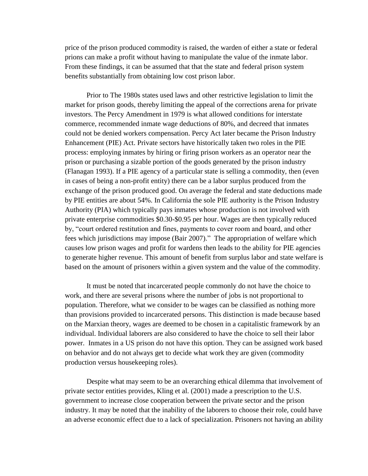price of the prison produced commodity is raised, the warden of either a state or federal prions can make a profit without having to manipulate the value of the inmate labor. From these findings, it can be assumed that that the state and federal prison system benefits substantially from obtaining low cost prison labor.

Prior to The 1980s states used laws and other restrictive legislation to limit the market for prison goods, thereby limiting the appeal of the corrections arena for private investors. The Percy Amendment in 1979 is what allowed conditions for interstate commerce, recommended inmate wage deductions of 80%, and decreed that inmates could not be denied workers compensation. Percy Act later became the Prison Industry Enhancement (PIE) Act. Private sectors have historically taken two roles in the PIE process: employing inmates by hiring or firing prison workers as an operator near the prison or purchasing a sizable portion of the goods generated by the prison industry (Flanagan 1993). If a PIE agency of a particular state is selling a commodity, then (even in cases of being a non-profit entity) there can be a labor surplus produced from the exchange of the prison produced good. On average the federal and state deductions made by PIE entities are about 54%. In California the sole PIE authority is the Prison Industry Authority (PIA) which typically pays inmates whose production is not involved with private enterprise commodities \$0.30-\$0.95 per hour. Wages are then typically reduced by, "court ordered restitution and fines, payments to cover room and board, and other fees which jurisdictions may impose (Bair 2007)." The appropriation of welfare which causes low prison wages and profit for wardens then leads to the ability for PIE agencies to generate higher revenue. This amount of benefit from surplus labor and state welfare is based on the amount of prisoners within a given system and the value of the commodity.

It must be noted that incarcerated people commonly do not have the choice to work, and there are several prisons where the number of jobs is not proportional to population. Therefore, what we consider to be wages can be classified as nothing more than provisions provided to incarcerated persons. This distinction is made because based on the Marxian theory, wages are deemed to be chosen in a capitalistic framework by an individual. Individual laborers are also considered to have the choice to sell their labor power. Inmates in a US prison do not have this option. They can be assigned work based on behavior and do not always get to decide what work they are given (commodity production versus housekeeping roles).

Despite what may seem to be an overarching ethical dilemma that involvement of private sector entities provides, Kling et al. (2001) made a prescription to the U.S. government to increase close cooperation between the private sector and the prison industry. It may be noted that the inability of the laborers to choose their role, could have an adverse economic effect due to a lack of specialization. Prisoners not having an ability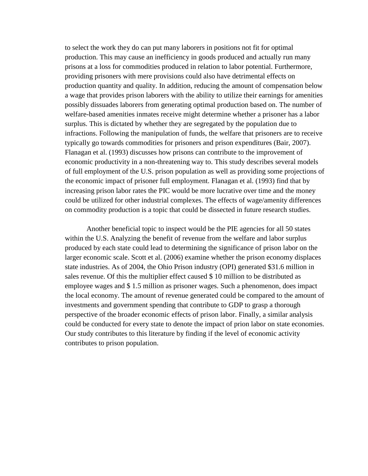to select the work they do can put many laborers in positions not fit for optimal production. This may cause an inefficiency in goods produced and actually run many prisons at a loss for commodities produced in relation to labor potential. Furthermore, providing prisoners with mere provisions could also have detrimental effects on production quantity and quality. In addition, reducing the amount of compensation below a wage that provides prison laborers with the ability to utilize their earnings for amenities possibly dissuades laborers from generating optimal production based on. The number of welfare-based amenities inmates receive might determine whether a prisoner has a labor surplus. This is dictated by whether they are segregated by the population due to infractions. Following the manipulation of funds, the welfare that prisoners are to receive typically go towards commodities for prisoners and prison expenditures (Bair, 2007). Flanagan et al. (1993) discusses how prisons can contribute to the improvement of economic productivity in a non-threatening way to. This study describes several models of full employment of the U.S. prison population as well as providing some projections of the economic impact of prisoner full employment. Flanagan et al. (1993) find that by increasing prison labor rates the PIC would be more lucrative over time and the money could be utilized for other industrial complexes. The effects of wage/amenity differences on commodity production is a topic that could be dissected in future research studies.

Another beneficial topic to inspect would be the PIE agencies for all 50 states within the U.S. Analyzing the benefit of revenue from the welfare and labor surplus produced by each state could lead to determining the significance of prison labor on the larger economic scale. Scott et al. (2006) examine whether the prison economy displaces state industries. As of 2004, the Ohio Prison industry (OPI) generated \$31.6 million in sales revenue. Of this the multiplier effect caused \$ 10 million to be distributed as employee wages and \$ 1.5 million as prisoner wages. Such a phenomenon, does impact the local economy. The amount of revenue generated could be compared to the amount of investments and government spending that contribute to GDP to grasp a thorough perspective of the broader economic effects of prison labor. Finally, a similar analysis could be conducted for every state to denote the impact of prion labor on state economies. Our study contributes to this literature by finding if the level of economic activity contributes to prison population.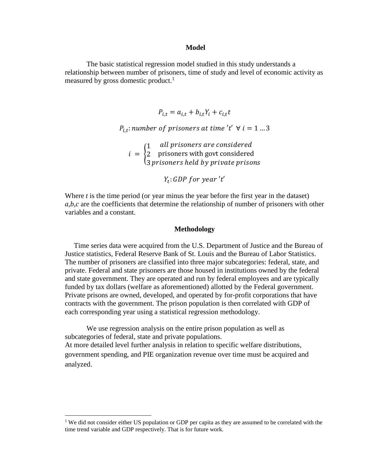#### **Model**

The basic statistical regression model studied in this study understands a relationship between number of prisoners, time of study and level of economic activity as measured by gross domestic product.<sup>1</sup>

$$
P_{i,t} = a_{i,t} + b_{i,t}Y_i + c_{i,t}t
$$

 $P_{i,t}$ : number of prisoners at time 't'  $\forall i = 1 ... 3$ 

 $i = \{$ 1 2 3 all prisoners are considered prisoners with govt considered prisoners held by private prisons

 $Y_t$ : GDP for year 't'

Where *t* is the time period (or year minus the year before the first year in the dataset) *a,b,c* are the coefficients that determine the relationship of number of prisoners with other variables and a constant.

#### **Methodology**

 Time series data were acquired from the U.S. Department of Justice and the Bureau of Justice statistics, Federal Reserve Bank of St. Louis and the Bureau of Labor Statistics. The number of prisoners are classified into three major subcategories: federal, state, and private. Federal and state prisoners are those housed in institutions owned by the federal and state government. They are operated and run by federal employees and are typically funded by tax dollars (welfare as aforementioned) allotted by the Federal government. Private prisons are owned, developed, and operated by for-profit corporations that have contracts with the government. The prison population is then correlated with GDP of each corresponding year using a statistical regression methodology.

We use regression analysis on the entire prison population as well as subcategories of federal, state and private populations. At more detailed level further analysis in relation to specific welfare distributions, government spending, and PIE organization revenue over time must be acquired and analyzed.

 $\overline{a}$ 

<sup>&</sup>lt;sup>1</sup> We did not consider either US population or GDP per capita as they are assumed to be correlated with the time trend variable and GDP respectively. That is for future work.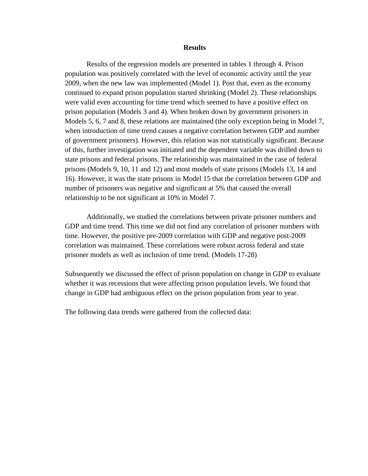#### **Results**

Results of the regression models are presented in tables 1 through 4. Prison population was positively correlated with the level of economic activity until the year 2009, when the new law was implemented (Model 1). Post that, even as the economy continued to expand prison population started shrinking (Model 2). These relationships were valid even accounting for time trend which seemed to have a positive effect on prison population (Models 3 and 4). When broken down by government prisoners in Models 5, 6, 7 and 8, these relations are maintained (the only exception being in Model 7, when introduction of time trend causes a negative correlation between GDP and number of government prisoners). However, this relation was not statistically significant. Because of this, further investigation was initiated and the dependent variable was drilled down to state prisons and federal prisons. The relationship was maintained in the case of federal prisons (Models 9, 10, 11 and 12) and most models of state prisons (Models 13, 14 and 16). However, it was the state prisons in Model 15 that the correlation between GDP and number of prisoners was negative and significant at 5% that caused the overall relationship to be not significant at 10% in Model 7.

Additionally, we studied the correlations between private prisoner numbers and GDP and time trend. This time we did not find any correlation of prisoner numbers with time. However, the positive pre-2009 correlation with GDP and negative post-2009 correlation was maintained. These correlations were robust across federal and state prisoner models as well as inclusion of time trend. (Models 17-28)

Subsequently we discussed the effect of prison population on change in GDP to evaluate whether it was recessions that were affecting prison population levels. We found that change in GDP had ambiguous effect on the prison population from year to year.

The following data trends were gathered from the collected data: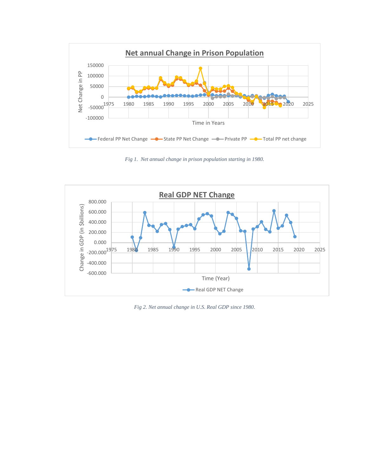

*Fig 1. Net annual change in prison population starting in 1980.*



*Fig 2. Net annual change in U.S. Real GDP since 1980.*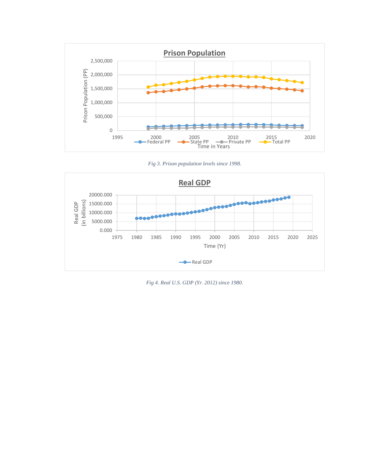





*Fig 4. Real U.S. GDP (Yr. 2012) since 1980.*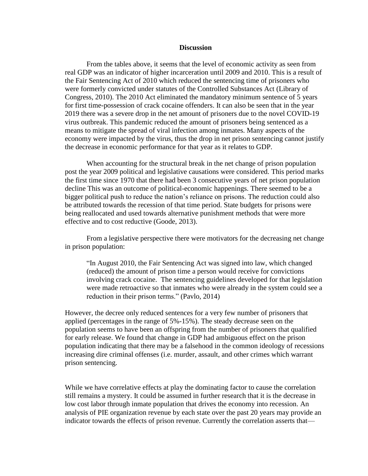#### **Discussion**

From the tables above, it seems that the level of economic activity as seen from real GDP was an indicator of higher incarceration until 2009 and 2010. This is a result of the Fair Sentencing Act of 2010 which reduced the sentencing time of prisoners who were formerly convicted under statutes of the Controlled Substances Act (Library of Congress, 2010). The 2010 Act eliminated the mandatory minimum sentence of 5 years for first time-possession of crack cocaine offenders. It can also be seen that in the year 2019 there was a severe drop in the net amount of prisoners due to the novel COVID-19 virus outbreak. This pandemic reduced the amount of prisoners being sentenced as a means to mitigate the spread of viral infection among inmates. Many aspects of the economy were impacted by the virus, thus the drop in net prison sentencing cannot justify the decrease in economic performance for that year as it relates to GDP.

When accounting for the structural break in the net change of prison population post the year 2009 political and legislative causations were considered. This period marks the first time since 1970 that there had been 3 consecutive years of net prison population decline This was an outcome of political-economic happenings. There seemed to be a bigger political push to reduce the nation's reliance on prisons. The reduction could also be attributed towards the recession of that time period. State budgets for prisons were being reallocated and used towards alternative punishment methods that were more effective and to cost reductive (Goode, 2013).

From a legislative perspective there were motivators for the decreasing net change in prison population:

"In August 2010, the Fair Sentencing Act was signed into law, which changed (reduced) the amount of prison time a person would receive for convictions involving crack cocaine. The sentencing guidelines developed for that legislation were made retroactive so that inmates who were already in the system could see a reduction in their prison terms." (Pavlo, 2014)

However, the decree only reduced sentences for a very few number of prisoners that applied (percentages in the range of 5%-15%). The steady decrease seen on the population seems to have been an offspring from the number of prisoners that qualified for early release. We found that change in GDP had ambiguous effect on the prison population indicating that there may be a falsehood in the common ideology of recessions increasing dire criminal offenses (i.e. murder, assault, and other crimes which warrant prison sentencing.

While we have correlative effects at play the dominating factor to cause the correlation still remains a mystery. It could be assumed in further research that it is the decrease in low cost labor through inmate population that drives the economy into recession. An analysis of PIE organization revenue by each state over the past 20 years may provide an indicator towards the effects of prison revenue. Currently the correlation asserts that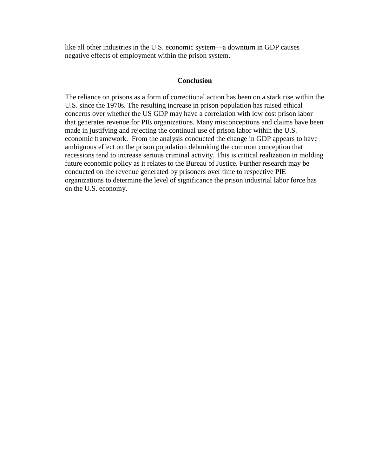like all other industries in the U.S. economic system—a downturn in GDP causes negative effects of employment within the prison system.

# **Conclusion**

The reliance on prisons as a form of correctional action has been on a stark rise within the U.S. since the 1970s. The resulting increase in prison population has raised ethical concerns over whether the US GDP may have a correlation with low cost prison labor that generates revenue for PIE organizations. Many misconceptions and claims have been made in justifying and rejecting the continual use of prison labor within the U.S. economic framework. From the analysis conducted the change in GDP appears to have ambiguous effect on the prison population debunking the common conception that recessions tend to increase serious criminal activity. This is critical realization in molding future economic policy as it relates to the Bureau of Justice. Further research may be conducted on the revenue generated by prisoners over time to respective PIE organizations to determine the level of significance the prison industrial labor force has on the U.S. economy.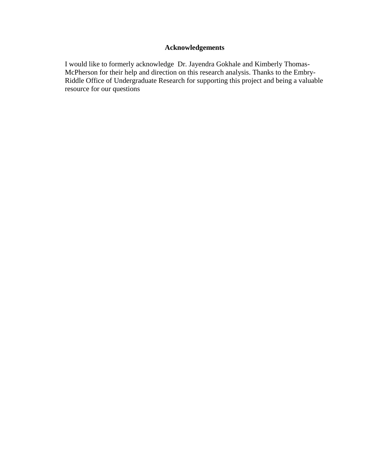# **Acknowledgements**

I would like to formerly acknowledge Dr. Jayendra Gokhale and Kimberly Thomas-McPherson for their help and direction on this research analysis. Thanks to the Embry-Riddle Office of Undergraduate Research for supporting this project and being a valuable resource for our questions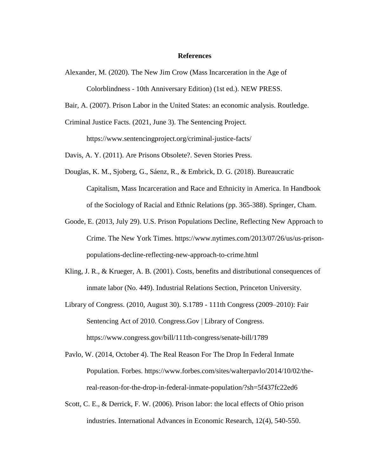#### **References**

- Alexander, M. (2020). The New Jim Crow (Mass Incarceration in the Age of Colorblindness - 10th Anniversary Edition) (1st ed.). NEW PRESS.
- Bair, A. (2007). Prison Labor in the United States: an economic analysis. Routledge.
- Criminal Justice Facts. (2021, June 3). The Sentencing Project. https://www.sentencingproject.org/criminal-justice-facts/
- Davis, A. Y. (2011). Are Prisons Obsolete?. Seven Stories Press.
- Douglas, K. M., Sjoberg, G., Sáenz, R., & Embrick, D. G. (2018). Bureaucratic Capitalism, Mass Incarceration and Race and Ethnicity in America. In Handbook of the Sociology of Racial and Ethnic Relations (pp. 365-388). Springer, Cham.
- Goode, E. (2013, July 29). U.S. Prison Populations Decline, Reflecting New Approach to Crime. The New York Times. https://www.nytimes.com/2013/07/26/us/us-prisonpopulations-decline-reflecting-new-approach-to-crime.html
- Kling, J. R., & Krueger, A. B. (2001). Costs, benefits and distributional consequences of inmate labor (No. 449). Industrial Relations Section, Princeton University.
- Library of Congress. (2010, August 30). S.1789 111th Congress (2009–2010): Fair Sentencing Act of 2010. Congress.Gov | Library of Congress. <https://www.congress.gov/bill/111th-congress/senate-bill/1789>
- Pavlo, W. (2014, October 4). The Real Reason For The Drop In Federal Inmate Population. Forbes. https://www.forbes.com/sites/walterpavlo/2014/10/02/thereal-reason-for-the-drop-in-federal-inmate-population/?sh=5f437fc22ed6
- Scott, C. E., & Derrick, F. W. (2006). Prison labor: the local effects of Ohio prison industries. International Advances in Economic Research, 12(4), 540-550.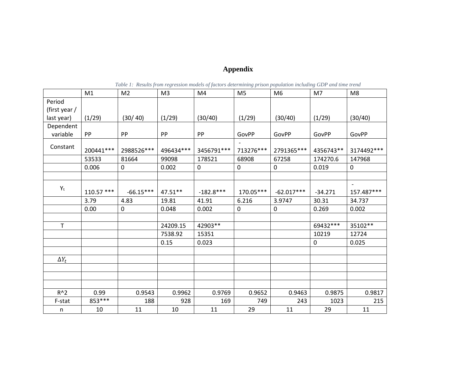# **Appendix**

|               | M1         | M <sub>2</sub> | M <sub>3</sub> | M4          | M <sub>5</sub> | M <sub>6</sub> | M7        | M <sub>8</sub> |
|---------------|------------|----------------|----------------|-------------|----------------|----------------|-----------|----------------|
| Period        |            |                |                |             |                |                |           |                |
| (first year / |            |                |                |             |                |                |           |                |
| last year)    | (1/29)     | (30/40)        | (1/29)         | (30/40)     | (1/29)         | (30/40)        | (1/29)    | (30/40)        |
| Dependent     |            |                |                |             |                |                |           |                |
| variable      | PP         | PP             | PP             | PP          | GovPP          | GovPP          | GovPP     | GovPP          |
| Constant      | 200441***  | 2988526 ***    | 496434 ***     | 3456791 *** | 713276***      | 2791365***     | 4356743** | 3174492 ***    |
|               | 53533      | 81664          | 99098          | 178521      | 68908          | 67258          | 174270.6  | 147968         |
|               | 0.006      | 0              | 0.002          | 0           | $\mathbf 0$    | $\pmb{0}$      | 0.019     | $\mathbf 0$    |
|               |            |                |                |             |                |                |           |                |
|               |            |                |                |             |                |                |           |                |
| $Y_t$         | 110.57 *** | $-66.15***$    | 47.51**        | $-182.8***$ | 170.05***      | $-62.017***$   | $-34.271$ | 157.487***     |
|               | 3.79       | 4.83           | 19.81          | 41.91       | 6.216          | 3.9747         | 30.31     | 34.737         |
|               | 0.00       | 0              | 0.048          | 0.002       | $\pmb{0}$      | $\pmb{0}$      | 0.269     | 0.002          |
|               |            |                |                |             |                |                |           |                |
| $\mathsf{T}$  |            |                | 24209.15       | 42903**     |                |                | 69432 *** | 35102 **       |
|               |            |                | 7538.92        | 15351       |                |                | 10219     | 12724          |
|               |            |                | 0.15           | 0.023       |                |                | 0         | 0.025          |
|               |            |                |                |             |                |                |           |                |
| $\Delta Y_t$  |            |                |                |             |                |                |           |                |
|               |            |                |                |             |                |                |           |                |
|               |            |                |                |             |                |                |           |                |
|               |            |                |                |             |                |                |           |                |
| $R^2$         | 0.99       | 0.9543         | 0.9962         | 0.9769      | 0.9652         | 0.9463         | 0.9875    | 0.9817         |
| F-stat        | 853 ***    | 188            | 928            | 169         | 749            | 243            | 1023      | 215            |
| n             | 10         | 11             | 10             | 11          | 29             | 11             | 29        | 11             |

*Table 1: Results from regression models of factors determining prison population including GDP and time trend*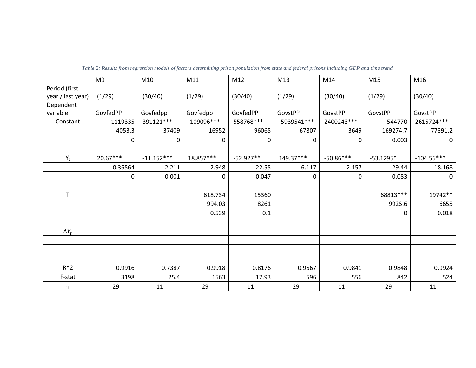|                   | M <sub>9</sub> | M10          | M11          | M12         | M13          | M14         | M15         | M16          |
|-------------------|----------------|--------------|--------------|-------------|--------------|-------------|-------------|--------------|
| Period (first     |                |              |              |             |              |             |             |              |
| year / last year) | (1/29)         | (30/40)      | (1/29)       | (30/40)     | (1/29)       | (30/40)     | (1/29)      | (30/40)      |
| Dependent         |                |              |              |             |              |             |             |              |
| variable          | GovfedPP       | Govfedpp     | Govfedpp     | GovfedPP    | GovstPP      | GovstPP     | GovstPP     | GovstPP      |
| Constant          | $-1119335$     | 391121***    | $-109096***$ | 558768 ***  | -5939541 *** | 2400243***  | 544770      | 2615724***   |
|                   | 4053.3         | 37409        | 16952        | 96065       | 67807        | 3649        | 169274.7    | 77391.2      |
|                   | 0              | 0            | 0            | $\pmb{0}$   | 0            | 0           | 0.003       | $\mathbf 0$  |
|                   |                |              |              |             |              |             |             |              |
| $Y_t$             | $20.67***$     | $-11.152***$ | 18.857***    | $-52.927**$ | 149.37***    | $-50.86***$ | $-53.1295*$ | $-104.56***$ |
|                   | 0.36564        | 2.211        | 2.948        | 22.55       | 6.117        | 2.157       | 29.44       | 18.168       |
|                   | 0              | 0.001        | 0            | 0.047       | 0            | 0           | 0.083       | 0            |
|                   |                |              |              |             |              |             |             |              |
| T                 |                |              | 618.734      | 15360       |              |             | 68813 ***   | 19742**      |
|                   |                |              | 994.03       | 8261        |              |             | 9925.6      | 6655         |
|                   |                |              | 0.539        | 0.1         |              |             | 0           | 0.018        |
|                   |                |              |              |             |              |             |             |              |
| $\Delta Y_t$      |                |              |              |             |              |             |             |              |
|                   |                |              |              |             |              |             |             |              |
|                   |                |              |              |             |              |             |             |              |
|                   |                |              |              |             |              |             |             |              |
| $R^2$             | 0.9916         | 0.7387       | 0.9918       | 0.8176      | 0.9567       | 0.9841      | 0.9848      | 0.9924       |
| F-stat            | 3198           | 25.4         | 1563         | 17.93       | 596          | 556         | 842         | 524          |
| n                 | 29             | 11           | 29           | 11          | 29           | 11          | 29          | 11           |

*Table 2: Results from regression models of factors determining prison population from state and federal prisons including GDP and time trend.*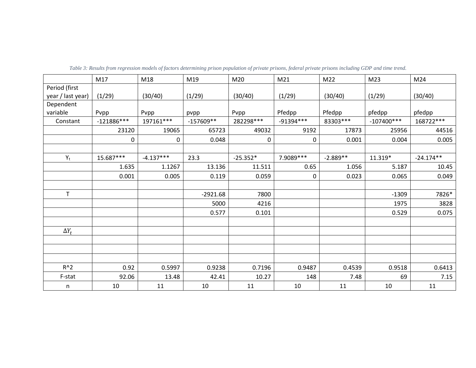|                   | M17          | M18         | M19         | M20        | M21         | M22        | M23          | M24         |
|-------------------|--------------|-------------|-------------|------------|-------------|------------|--------------|-------------|
| Period (first     |              |             |             |            |             |            |              |             |
| year / last year) | (1/29)       | (30/40)     | (1/29)      | (30/40)    | (1/29)      | (30/40)    | (1/29)       | (30/40)     |
| Dependent         |              |             |             |            |             |            |              |             |
| variable          | Pvpp         | Pvpp        | pvpp        | Pvpp       | Pfedpp      | Pfedpp     | pfedpp       | pfedpp      |
| Constant          | $-121886***$ | $197161***$ | $-157609**$ | 282298***  | $-91394***$ | 83303***   | $-107400***$ | 168722 ***  |
|                   | 23120        | 19065       | 65723       | 49032      | 9192        | 17873      | 25956        | 44516       |
|                   | 0            | 0           | 0.048       | $\pmb{0}$  | 0           | 0.001      | 0.004        | 0.005       |
|                   |              |             |             |            |             |            |              |             |
| $Y_t$             | 15.687***    | $-4.137***$ | 23.3        | $-25.352*$ | 7.9089 ***  | $-2.889**$ | 11.319*      | $-24.174**$ |
|                   | 1.635        | 1.1267      | 13.136      | 11.511     | 0.65        | 1.056      | 5.187        | 10.45       |
|                   | 0.001        | 0.005       | 0.119       | 0.059      | 0           | 0.023      | 0.065        | 0.049       |
|                   |              |             |             |            |             |            |              |             |
| T                 |              |             | $-2921.68$  | 7800       |             |            | $-1309$      | 7826*       |
|                   |              |             | 5000        | 4216       |             |            | 1975         | 3828        |
|                   |              |             | 0.577       | 0.101      |             |            | 0.529        | 0.075       |
|                   |              |             |             |            |             |            |              |             |
| $\Delta Y_t$      |              |             |             |            |             |            |              |             |
|                   |              |             |             |            |             |            |              |             |
|                   |              |             |             |            |             |            |              |             |
|                   |              |             |             |            |             |            |              |             |
| $R^2$             | 0.92         | 0.5997      | 0.9238      | 0.7196     | 0.9487      | 0.4539     | 0.9518       | 0.6413      |
| F-stat            | 92.06        | 13.48       | 42.41       | 10.27      | 148         | 7.48       | 69           | 7.15        |
| n                 | 10           | 11          | 10          | 11         | 10          | 11         | 10           | 11          |

*Table 3: Results from regression models of factors determining prison population of private prisons, federal private prisons including GDP and time trend.*